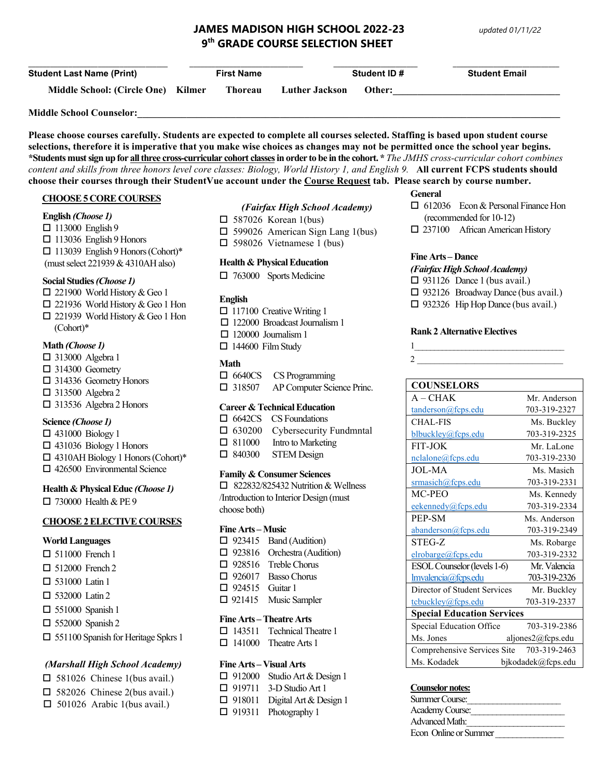# **JAMES MADISON HIGH SCHOOL 2022-23** *updated 01/11/22* **9th GRADE COURSE SELECTION SHEET**

| <b>Student Last Name (Print)</b>   | <b>First Name</b> |                       | <b>Student ID #</b> | <b>Student Email</b> |
|------------------------------------|-------------------|-----------------------|---------------------|----------------------|
| Middle School: (Circle One) Kilmer | Thoreau           | <b>Luther Jackson</b> | Other:              |                      |
| <b>Middle School Counselor:</b>    |                   |                       |                     |                      |

**Please choose courses carefully. Students are expected to complete all courses selected. Staffing is based upon student course selections, therefore it is imperative that you make wise choices as changes may not be permitted once the school year begins. \*Students must sign up for all three cross-curricular cohort classesin order to be in the cohort. \*** *The JMHS cross-curricular cohort combines content and skills from three honors level core classes: Biology, World History 1, and English 9.* **All current FCPS students should choose their courses through their StudentVue account under the Course Request tab. Please search by course number.**

### **CHOOSE 5 CORE COURSES**

#### **English** *(Choose 1)*

□ 113000 English 9  $\Box$  113036 English 9 Honors  $\Box$  113039 English 9 Honors (Cohort)\* (must select 221939 & 4310AH also)

### **Social Studies***(Choose 1)*

- 221900 World History & Geo 1
- 221936 World History & Geo 1 Hon □ 221939 World History & Geo 1 Hon (Cohort)\*

### **Math** *(Choose 1)*

- □ 313000 Algebra 1 □ 314300 Geometry
- 314336 Geometry Honors □ 313500 Algebra 2
- 313536 Algebra 2 Honors

# **Science** *(Choose 1)*

- $\Box$  431000 Biology 1
- $\Box$  431036 Biology 1 Honors
- 4310AH Biology 1 Honors (Cohort)\*
- □ 426500 Environmental Science

### **Health & Physical Educ** *(Choose 1)*

730000 Health & PE 9

### **CHOOSE 2 ELECTIVE COURSES**

### **World Languages**

- □ 511000 French 1
- □ 512000 French 2
- $\Box$  531000 Latin 1
- □ 532000 Latin 2
- $\square$  551000 Spanish 1
- $\Box$  552000 Spanish 2
- □ 551100 Spanish for Heritage Spkrs 1

# *(Marshall High School Academy)*

- $\Box$  581026 Chinese 1(bus avail.)
- 582026 Chinese 2(bus avail.)
- $\Box$  501026 Arabic 1(bus avail.)

### *(Fairfax High School Academy)*

- $\Box$  587026 Korean 1(bus)
- $\square$  599026 American Sign Lang 1(bus)
- $\Box$  598026 Vietnamese 1 (bus)

### **Health & Physical Education**

 $\Box$  763000 Sports Medicine

### **English**

- $\Box$  117100 Creative Writing 1
- $\Box$  122000 Broadcast Journalism 1
- $\Box$  120000 Journalism 1
- $\Box$  144600 Film Study

### **Math**

|  | $\Box$ 6640CS | CS Programming |
|--|---------------|----------------|
|--|---------------|----------------|

<sup>318507</sup> AP Computer Science Princ.

### **Career & Technical Education**

|  | $\Box$ 6642CS CS Foundations          |
|--|---------------------------------------|
|  | $\Box$ 630200 Cybersecurity Fundmntal |
|  | $\Box$ 811000 Intro to Marketing      |
|  | _______                               |

□ 840300 STEM Design

### **Family & Consumer Sciences**

 $\Box$  822832/825432 Nutrition & Wellness /Introduction to Interior Design (must choose both)

#### **Fine Arts – Music**

|                                                | $\Box$ 923415 Band (Audition)      |  |  |
|------------------------------------------------|------------------------------------|--|--|
|                                                | $\Box$ 923816 Orchestra (Audition) |  |  |
|                                                | $\Box$ 928516 Treble Chorus        |  |  |
|                                                | $\Box$ 926017 Basso Chorus         |  |  |
| $\Box$ 924515 Guitar 1                         |                                    |  |  |
|                                                | $\Box$ 921415 Music Sampler        |  |  |
| $\Gamma$ . And $\Gamma$ . The second $\Lambda$ |                                    |  |  |

### **Fine Arts –Theatre Arts**

|  | $\Box$ 143511 Technical Theatre 1 |
|--|-----------------------------------|
|  | $\Box$ 141000 Theatre Arts 1      |

### **Fine Arts – Visual Arts**

|  | $\Box$ 912000 Studio Art & Design 1  |
|--|--------------------------------------|
|  | $\Box$ 919711 3-D Studio Art 1       |
|  | $\Box$ 918011 Digital Art & Design 1 |
|  | $\Box$ 919311 Photography 1          |
|  |                                      |

### **General**

- □ 612036 Econ & Personal Finance Hon (recommended for 10-12)
- 237100 African American History

### **Fine Arts – Dance**

#### *(Fairfax High School Academy)*

- $\Box$  931126 Dance 1 (bus avail.)
- □ 932126 Broadway Dance (bus avail.)
- 932326 Hip Hop Dance (bus avail.)

### **Rank 2 Alternative Electives**

 $1_\_$  $2 \Box$ 

| <b>COUNSELORS</b>                 |                    |  |
|-----------------------------------|--------------------|--|
| $A - CHAK$                        | Mr. Anderson       |  |
| tanderson@fcps.edu                | 703-319-2327       |  |
| <b>CHAL-FIS</b>                   | Ms. Buckley        |  |
| blbuckley@fcps.edu                | 703-319-2325       |  |
| <b>FIT-JOK</b>                    | Mr. LaLone         |  |
| nclalone@fcps.edu                 | 703-319-2330       |  |
| <b>JOL-MA</b>                     | Ms. Masich         |  |
| srmasich@fcps.edu                 | 703-319-2331       |  |
| MC-PEO                            | Ms. Kennedy        |  |
| eekennedy@fcps.edu                | 703-319-2334       |  |
| PEP-SM                            | Ms. Anderson       |  |
| abanderson@fcps.edu               | 703-319-2349       |  |
| STEG-Z                            | Ms. Robarge        |  |
| elrobarge@fcps.edu                | 703-319-2332       |  |
| ESOL Counselor (levels 1-6)       | Mr. Valencia       |  |
| Imvalencia@fcps.edu               | 703-319-2326       |  |
| Director of Student Services      | Mr. Buckley        |  |
| tcbuckley@fcps.edu                | 703-319-2337       |  |
| <b>Special Education Services</b> |                    |  |
| Special Education Office          | 703-319-2386       |  |
| Ms. Jones                         | aljones2@fcps.edu  |  |
| Comprehensive Services Site       | 703-319-2463       |  |
| Ms. Kodadek                       | bjkodadek@fcps.edu |  |

# **Counselor notes:**

| Summer Course:        |  |
|-----------------------|--|
| Academy Course:       |  |
| Advanced Math:        |  |
| From Online or Summer |  |